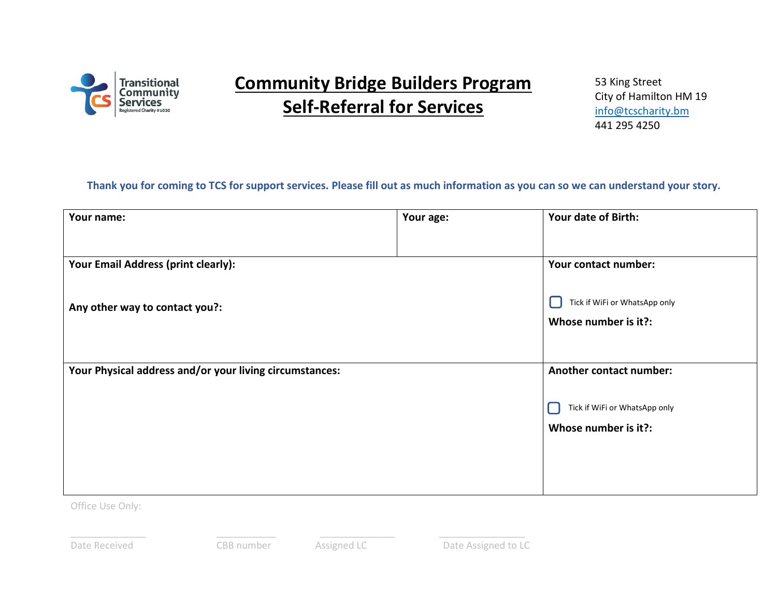

## **Community Bridge Builders Program Self-Referral for Services**

53 King Street City of Hamilton HM 19 [info@tcscharity.bm](mailto:info@tcscharity.bm) 441 295 4250

## **Thank you for coming to TCS for support services. Please fill out as much information as you can so we can understand your story.**

| Your name:                                              | Your age: | Your date of Birth:           |
|---------------------------------------------------------|-----------|-------------------------------|
|                                                         |           |                               |
| Your Email Address (print clearly):                     |           | Your contact number:          |
| Any other way to contact you?:                          |           | Tick if WiFi or WhatsApp only |
|                                                         |           | Whose number is it?:          |
|                                                         |           |                               |
| Your Physical address and/or your living circumstances: |           | Another contact number:       |
|                                                         |           | Tick if WiFi or WhatsApp only |
|                                                         |           | Whose number is it?:          |
|                                                         |           |                               |
|                                                         |           |                               |

Office Use Only:

\_\_\_\_\_\_\_\_\_\_\_\_\_\_ \_\_\_\_\_\_\_\_\_\_\_ \_\_\_\_\_\_\_\_\_\_\_\_\_\_ \_\_\_\_\_\_\_\_\_\_\_\_\_\_\_\_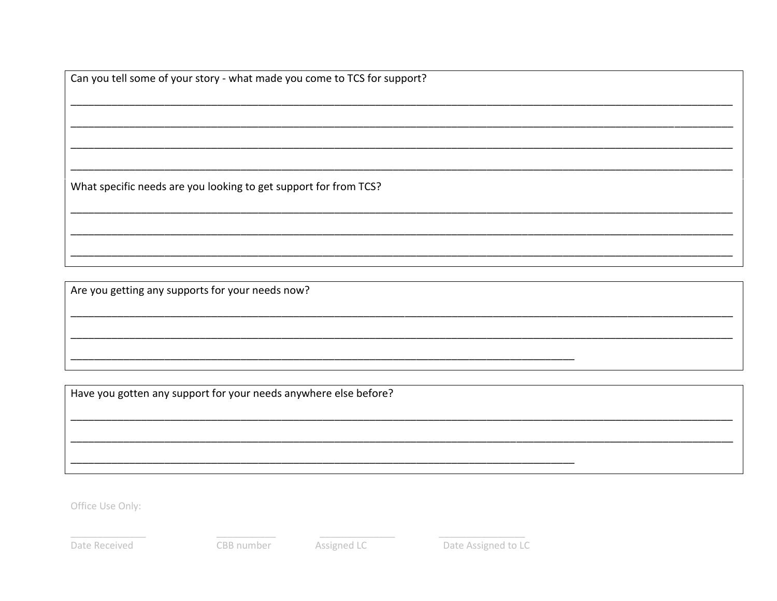Can you tell some of your story - what made you come to TCS for support?

What specific needs are you looking to get support for from TCS?

Are you getting any supports for your needs now?

Have you gotten any support for your needs anywhere else before?

Office Use Only:

Date Received